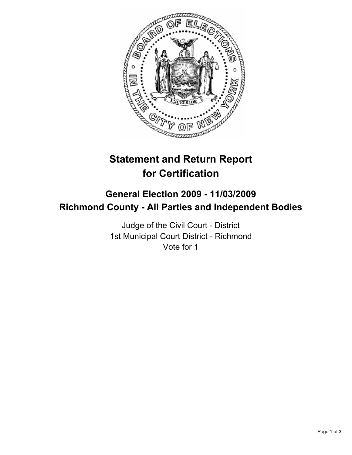

# **Statement and Return Report for Certification**

## **General Election 2009 - 11/03/2009 Richmond County - All Parties and Independent Bodies**

Judge of the Civil Court - District 1st Municipal Court District - Richmond Vote for 1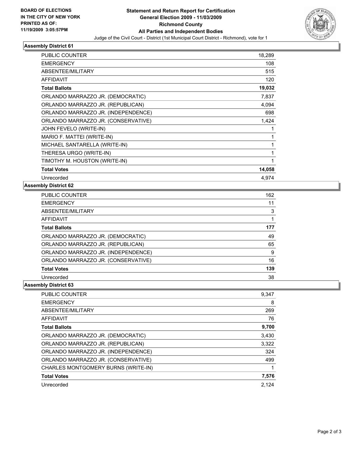

### **Assembly District 61**

| <b>PUBLIC COUNTER</b>               | 18,289 |
|-------------------------------------|--------|
| <b>EMERGENCY</b>                    | 108    |
| ABSENTEE/MILITARY                   | 515    |
| <b>AFFIDAVIT</b>                    | 120    |
| <b>Total Ballots</b>                | 19,032 |
| ORLANDO MARRAZZO JR. (DEMOCRATIC)   | 7,837  |
| ORLANDO MARRAZZO JR. (REPUBLICAN)   | 4,094  |
| ORLANDO MARRAZZO JR. (INDEPENDENCE) | 698    |
| ORLANDO MARRAZZO JR. (CONSERVATIVE) | 1,424  |
| JOHN FEVELO (WRITE-IN)              | 1      |
| MARIO F. MATTEI (WRITE-IN)          | 1      |
| MICHAEL SANTARELLA (WRITE-IN)       | 1      |
| THERESA URGO (WRITE-IN)             | 1      |
| TIMOTHY M. HOUSTON (WRITE-IN)       | 1      |
| <b>Total Votes</b>                  | 14,058 |
| Unrecorded                          | 4.974  |

#### **Assembly District 62**

| <b>PUBLIC COUNTER</b>               | 162 |
|-------------------------------------|-----|
| <b>EMERGENCY</b>                    | 11  |
| ABSENTEE/MILITARY                   | 3   |
| AFFIDAVIT                           |     |
| <b>Total Ballots</b>                | 177 |
| ORLANDO MARRAZZO JR. (DEMOCRATIC)   | 49  |
| ORLANDO MARRAZZO JR. (REPUBLICAN)   | 65  |
| ORLANDO MARRAZZO JR. (INDEPENDENCE) | 9   |
| ORLANDO MARRAZZO JR. (CONSERVATIVE) | 16  |
| <b>Total Votes</b>                  | 139 |
| Unrecorded                          | 38  |

#### **Assembly District 63**

| <b>PUBLIC COUNTER</b>               | 9.347 |
|-------------------------------------|-------|
| <b>EMERGENCY</b>                    | 8     |
| ABSENTEE/MILITARY                   | 269   |
| AFFIDAVIT                           | 76    |
| <b>Total Ballots</b>                | 9,700 |
| ORLANDO MARRAZZO JR. (DEMOCRATIC)   | 3,430 |
| ORLANDO MARRAZZO JR. (REPUBLICAN)   | 3,322 |
| ORLANDO MARRAZZO JR. (INDEPENDENCE) | 324   |
| ORLANDO MARRAZZO JR. (CONSERVATIVE) | 499   |
| CHARLES MONTGOMERY BURNS (WRITE-IN) |       |
| <b>Total Votes</b>                  | 7,576 |
| Unrecorded                          | 2.124 |